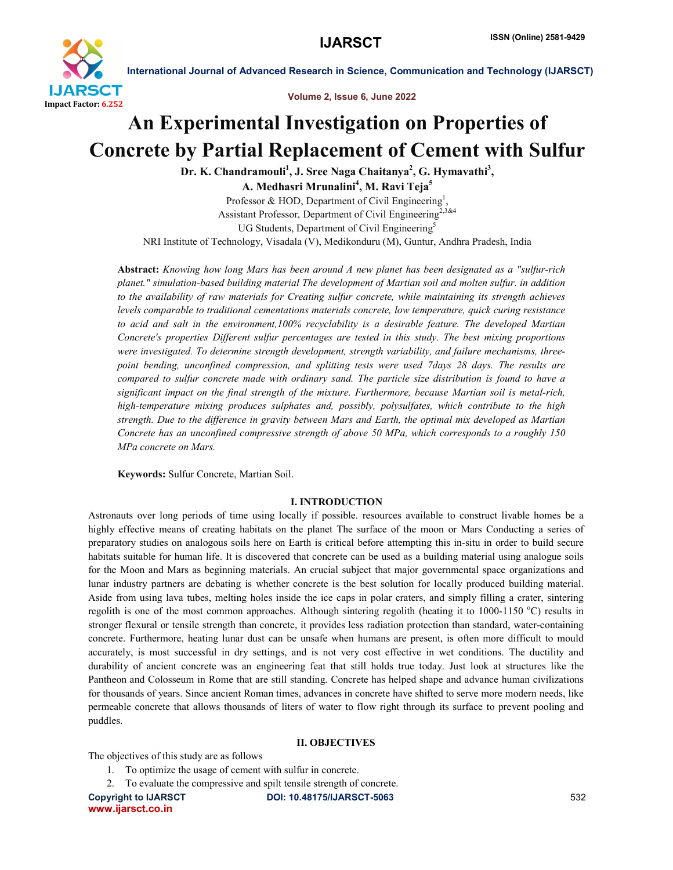

International Journal of Advanced Research in Science, Communication and Technology (IJARSCT)

Volume 2, Issue 6, June 2022

# An Experimental Investigation on Properties of Concrete by Partial Replacement of Cement with Sulfur

Dr. K. Chandramouli<sup>1</sup>, J. Sree Naga Chaitanya<sup>2</sup>, G. Hymavathi<sup>3</sup>, A. Medhasri Mrunalini<sup>4</sup>, M. Ravi Teja<sup>5</sup>

Professor & HOD, Department of Civil Engineering<sup>1</sup>, Assistant Professor, Department of Civil Engineering<sup>2,3&4</sup> UG Students, Department of Civil Engineering<sup>5</sup>

NRI Institute of Technology, Visadala (V), Medikonduru (M), Guntur, Andhra Pradesh, India

Abstract: *Knowing how long Mars has been around A new planet has been designated as a "sulfur-rich planet." simulation-based building material The development of Martian soil and molten sulfur. in addition to the availability of raw materials for Creating sulfur concrete, while maintaining its strength achieves levels comparable to traditional cementations materials concrete, low temperature, quick curing resistance to acid and salt in the environment,100% recyclability is a desirable feature. The developed Martian Concrete's properties Different sulfur percentages are tested in this study. The best mixing proportions were investigated. To determine strength development, strength variability, and failure mechanisms, threepoint bending, unconfined compression, and splitting tests were used 7days 28 days. The results are compared to sulfur concrete made with ordinary sand. The particle size distribution is found to have a significant impact on the final strength of the mixture. Furthermore, because Martian soil is metal-rich, high-temperature mixing produces sulphates and, possibly, polysulfates, which contribute to the high strength. Due to the difference in gravity between Mars and Earth, the optimal mix developed as Martian Concrete has an unconfined compressive strength of above 50 MPa, which corresponds to a roughly 150 MPa concrete on Mars.*

Keywords: Sulfur Concrete, Martian Soil.

#### I. INTRODUCTION

Astronauts over long periods of time using locally if possible. resources available to construct livable homes be a highly effective means of creating habitats on the planet The surface of the moon or Mars Conducting a series of preparatory studies on analogous soils here on Earth is critical before attempting this in-situ in order to build secure habitats suitable for human life. It is discovered that concrete can be used as a building material using analogue soils for the Moon and Mars as beginning materials. An crucial subject that major governmental space organizations and lunar industry partners are debating is whether concrete is the best solution for locally produced building material. Aside from using lava tubes, melting holes inside the ice caps in polar craters, and simply filling a crater, sintering regolith is one of the most common approaches. Although sintering regolith (heating it to 1000-1150 °C) results in stronger flexural or tensile strength than concrete, it provides less radiation protection than standard, water-containing concrete. Furthermore, heating lunar dust can be unsafe when humans are present, is often more difficult to mould accurately, is most successful in dry settings, and is not very cost effective in wet conditions. The ductility and durability of ancient concrete was an engineering feat that still holds true today. Just look at structures like the Pantheon and Colosseum in Rome that are still standing. Concrete has helped shape and advance human civilizations for thousands of years. Since ancient Roman times, advances in concrete have shifted to serve more modern needs, like permeable concrete that allows thousands of liters of water to flow right through its surface to prevent pooling and puddles.

### II. OBJECTIVES

The objectives of this study are as follows

1. To optimize the usage of cement with sulfur in concrete.

2. To evaluate the compressive and spilt tensile strength of concrete.

www.ijarsct.co.in

Copyright to IJARSCT DOI: 10.48175/IJARSCT-5063 **532**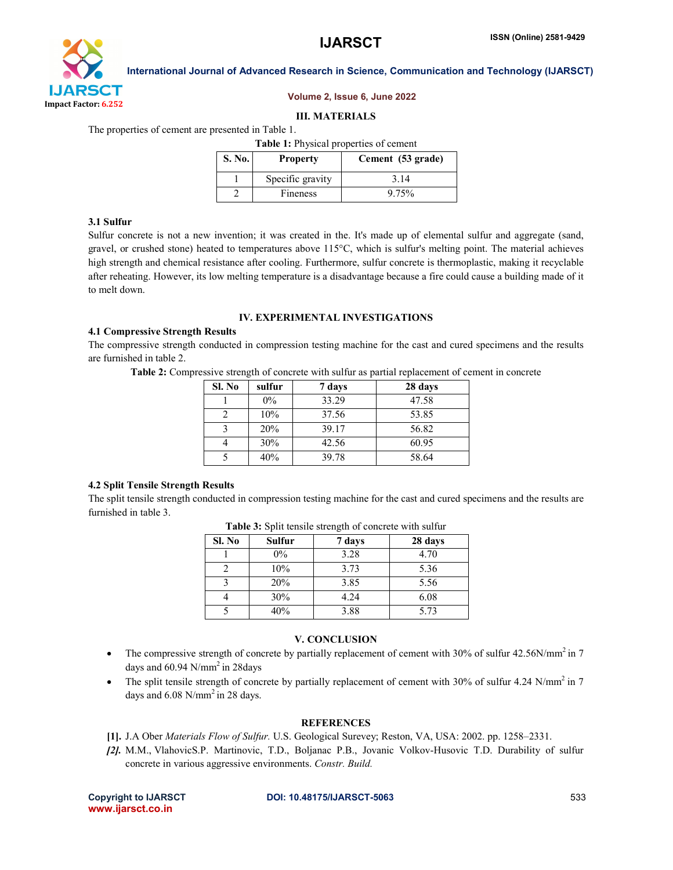

#### Volume 2, Issue 6, June 2022

#### III. MATERIALS

The properties of cement are presented in Table 1.

| <b>Table 1:</b> Physical properties of cement |                  |                   |  |  |  |  |
|-----------------------------------------------|------------------|-------------------|--|--|--|--|
| <b>S. No.</b>                                 | <b>Property</b>  | Cement (53 grade) |  |  |  |  |
|                                               | Specific gravity | 3 1 4             |  |  |  |  |
|                                               | Fineness         | 9.75%             |  |  |  |  |

#### 3.1 Sulfur

Sulfur concrete is not a new invention; it was created in the. It's made up of elemental sulfur and aggregate (sand, gravel, or crushed stone) heated to temperatures above 115°C, which is sulfur's melting point. The material achieves high strength and chemical resistance after cooling. Furthermore, sulfur concrete is thermoplastic, making it recyclable after reheating. However, its low melting temperature is a disadvantage because a fire could cause a building made of it to melt down.

#### IV. EXPERIMENTAL INVESTIGATIONS

#### 4.1 Compressive Strength Results

The compressive strength conducted in compression testing machine for the cast and cured specimens and the results are furnished in table 2.

Table 2: Compressive strength of concrete with sulfur as partial replacement of cement in concrete

| Sl. No | sulfur | 7 days | 28 days |
|--------|--------|--------|---------|
|        | $0\%$  | 33.29  | 47.58   |
|        | 10%    | 37.56  | 53.85   |
| າ      | 20%    | 39.17  | 56.82   |
|        | 30%    | 42.56  | 60.95   |
|        | 40%    | 39.78  | 58.64   |

### 4.2 Split Tensile Strength Results

The split tensile strength conducted in compression testing machine for the cast and cured specimens and the results are furnished in table 3.

| Sl. No | <b>Sulfur</b> | 7 days | 28 days |  |  |
|--------|---------------|--------|---------|--|--|
|        | $0\%$         | 3.28   | 4.70    |  |  |
|        | 10%           | 3.73   | 5.36    |  |  |
|        | 20%           | 3.85   | 5.56    |  |  |
|        | 30%           | 4.24   | 6.08    |  |  |
|        | 40%           | 3.88   | 5.73    |  |  |

Table 3: Split tensile strength of concrete with sulfur

#### V. CONCLUSION

- The compressive strength of concrete by partially replacement of cement with 30% of sulfur 42.56N/mm<sup>2</sup> in 7 days and  $60.94$  N/mm<sup>2</sup> in 28days
- The split tensile strength of concrete by partially replacement of cement with 30% of sulfur 4.24 N/mm<sup>2</sup> in 7 days and  $6.08$  N/mm<sup>2</sup> in 28 days.

#### **REFERENCES**

- [1]. J.A Ober *Materials Flow of Sulfur.* U.S. Geological Surevey; Reston, VA, USA: 2002. pp. 1258–2331.
- *[2].* M.M., VlahovicS.P. Martinovic, T.D., Boljanac P.B., Jovanic Volkov-Husovic T.D. Durability of sulfur concrete in various aggressive environments. *Constr. Build.*

www.ijarsct.co.in

Copyright to IJARSCT DOI: 10.48175/IJARSCT-5063 **533**